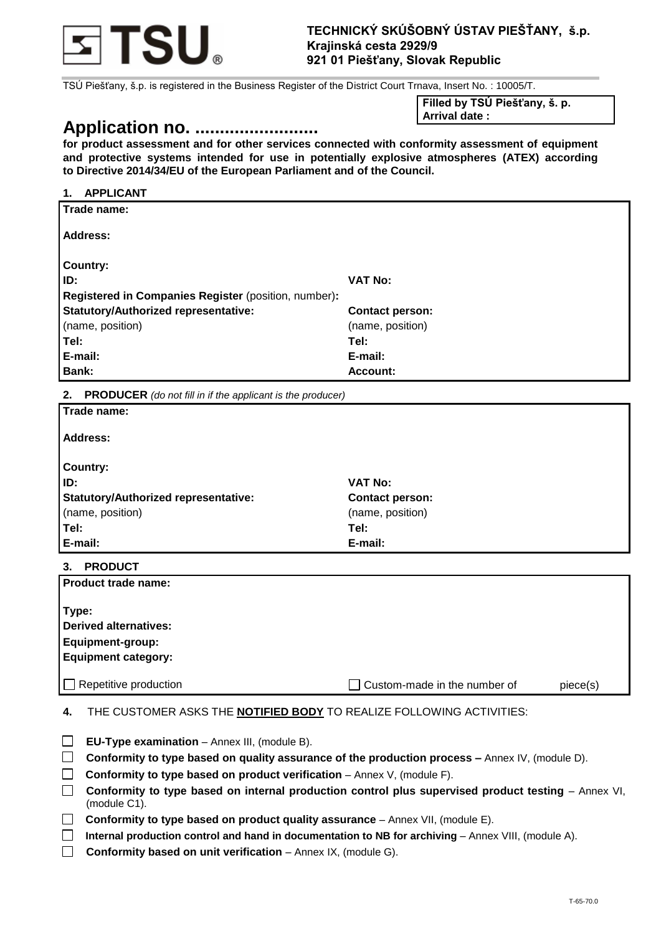

TSÚ Piešťany, š.p. is registered in the Business Register of the District Court Trnava, Insert No. : 10005/T.

# **Application no. .........................**

**Filled by TSÚ Piešťany, š. p. Arrival date :**

**for product assessment and for other services connected with conformity assessment of equipment and protective systems intended for use in potentially explosive atmospheres (ATEX) according to Directive 2014/34/EU of the European Parliament and of the Council.** 

## **1. APPLICANT Trade name: Address: Country: ID: VAT No: Registered in Companies Register** (position, number)**: Statutory/Authorized representative:**  (name, position) **Contact person:**  (name, position) **Tel: E-mail: Tel: E-mail: Bank: Bank: Account: Account: Account: Account:**

**2. PRODUCER** *(do not fill in if the applicant is the producer)*

| Trade name:                          |                        |
|--------------------------------------|------------------------|
| <b>Address:</b>                      |                        |
| <b>Country:</b>                      |                        |
| ID:                                  | <b>VAT No:</b>         |
| Statutory/Authorized representative: | <b>Contact person:</b> |
| (name, position)                     | (name, position)       |
| Tel:                                 | Tel:                   |
| E-mail:                              | E-mail:                |

**3. PRODUCT**

| Product trade name:                                                                     |                                |          |
|-----------------------------------------------------------------------------------------|--------------------------------|----------|
| Type:<br>Derived alternatives:<br><b>Equipment-group:</b><br><b>Equipment category:</b> |                                |          |
| $\Box$ Repetitive production                                                            | □ Custom-made in the number of | piece(s) |

**4.** THE CUSTOMER ASKS THE **NOTIFIED BODY** TO REALIZE FOLLOWING ACTIVITIES:

| $\Box$<br>EU-Type examination - Annex III, (module B). |  |
|--------------------------------------------------------|--|
|--------------------------------------------------------|--|

- **Conformity to type based on quality assurance of the production process –** Annex IV, (module D).
- **Conformity to type based on product verification** Annex V, (module F).
- **Conformity to type based on internal production control plus supervised product testing Annex VI,** (module C1).
- □ Conformity to type based on product quality assurance Annex VII, (module E).
- **Internal production control and hand in documentation to NB for archiving** Annex VIII, (module A).
- **Conformity based on unit verification** Annex IX, (module G).